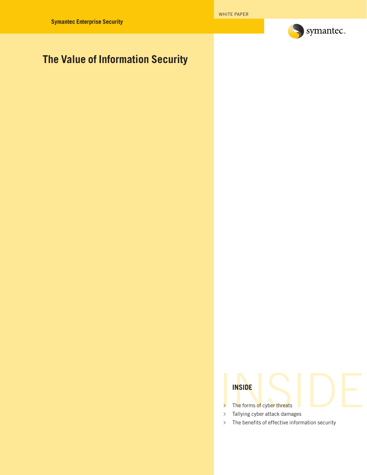

# **The Value of Information Security**

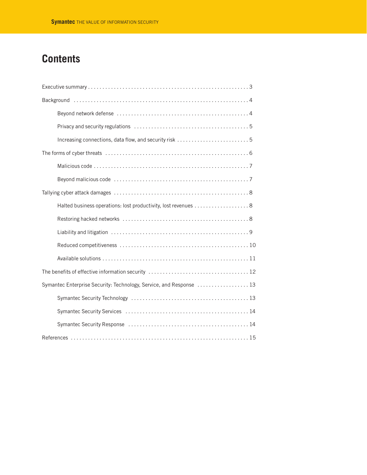# **Contents**

| Halted business operations: lost productivity, lost revenues 8      |
|---------------------------------------------------------------------|
|                                                                     |
|                                                                     |
|                                                                     |
|                                                                     |
|                                                                     |
| Symantec Enterprise Security: Technology, Service, and Response  13 |
|                                                                     |
|                                                                     |
|                                                                     |
|                                                                     |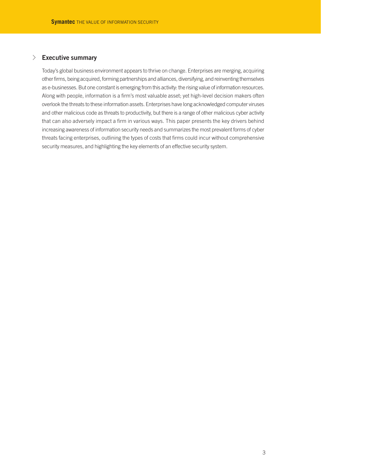# √ **Executive summary**

Today's global business environment appears to thrive on change. Enterprises are merging, acquiring other firms, being acquired, forming partnerships and alliances, diversifying, and reinventing themselves as e-businesses. But one constant is emerging from this activity: the rising value of information resources. Along with people, information is a firm's most valuable asset; yet high-level decision makers often overlook the threats to these information assets. Enterprises have long acknowledged computer viruses and other malicious code as threats to productivity, but there is a range of other malicious cyber activity that can also adversely impact a firm in various ways. This paper presents the key drivers behind increasing awareness of information security needs and summarizes the most prevalent forms of cyber threats facing enterprises, outlining the types of costs that firms could incur without comprehensive security measures, and highlighting the key elements of an effective security system.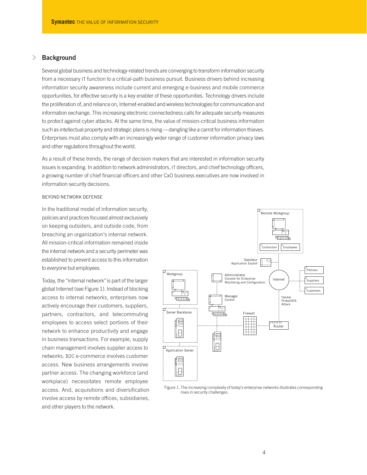# √ **Background**

Several global business and technology-related trends are converging to transform information security from a necessary IT function to a critical-path business pursuit. Business drivers behind increasing information security awareness include current and emerging e-business and mobile commerce opportunities, for effective security is a key enabler of these opportunities. Technology drivers include the proliferation of, and reliance on, Internet-enabled and wireless technologies for communication and information exchange. This increasing electronic connectedness calls for adequate security measures to protect against cyber attacks. At the same time, the value of mission-critical business information such as intellectual property and strategic plans is rising—dangling like a carrot for information thieves. Enterprises must also comply with an increasingly wider range of customer information privacy laws and other regulations throughout the world.

As a result of these trends, the range of decision makers that are interested in information security issues is expanding. In addition to network administrators, IT directors, and chief technology officers, a growing number of chief financial officers and other CxO business executives are now involved in information security decisions.

## BEYOND NETWORK DEFENSE

In the traditional model of information security, policies and practices focused almost exclusively on keeping outsiders, and outside code, from breaching an organization's internal network. All mission-critical information remained inside the internal network and a security perimeter was established to prevent access to this information to everyone but employees.

Today, the "internal network"is part of the larger global Internet (see Figure 1). Instead of blocking access to internal networks, enterprises now actively encourage their customers, suppliers, partners, contractors, and telecommuting employees to access select portions of their network to enhance productivity and engage in business transactions. For example, supply chain management involves supplier access to networks. B2C e-commerce involves customer access. New business arrangements involve partner access. The changing workforce (and workplace) necessitates remote employee access. And, acquisitions and diversification involve access by remote offices, subsidiaries, and other players to the network.



Figure 1. The increasing complexity of today's enterprise networks illustrates corresponding rises in security challenges.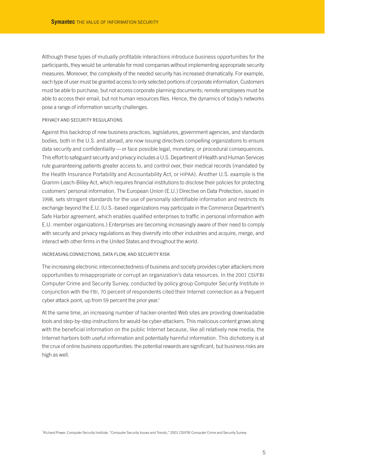Although these types of mutually profitable interactions introduce business opportunities for the participants, they would be untenable for most companies without implementing appropriate security measures. Moreover, the complexity of the needed security has increased dramatically. For example, each type of user must be granted access to only selected portions of corporate information. Customers must be able to purchase, but not access corporate planning documents; remote employees must be able to access their email, but not human resources files. Hence, the dynamics of today's networks pose a range of information security challenges.

## PRIVACY AND SECURITY REGULATIONS

Against this backdrop of new business practices, legislatures, government agencies, and standards bodies, both in the U.S. and abroad, are now issuing directives compelling organizations to ensure data security and confidentiality—or face possible legal, monetary, or procedural consequences. This effort to safeguard security and privacy includes a U.S. Department of Health and Human Services rule guaranteeing patients greater access to, and control over, their medical records (mandated by the Health Insurance Portability and Accountability Act, or HIPAA). Another U.S. example is the Gramm-Leach-Bliley Act, which requires financial institutions to disclose their policies for protecting customers' personal information. The European Union (E.U.) Directive on Data Protection, issued in 1998, sets stringent standards for the use of personally identifiable information and restricts its exchange beyond the E.U. (U.S.-based organizations may participate in the Commerce Department's Safe Harbor agreement, which enables qualified enterprises to traffic in personal information with E.U. member organizations.) Enterprises are becoming increasingly aware of their need to comply with security and privacy regulations as they diversify into other industries and acquire, merge, and interact with other firms in the United States and throughout the world.

## INCREASING CONNECTIONS, DATA FLOW, AND SECURITY RISK

The increasing electronic interconnectedness of business and society provides cyber attackers more opportunities to misappropriate or corrupt an organization's data resources. In the 2001 CSI/FBI Computer Crime and Security Survey, conducted by policy group Computer Security Institute in conjunction with the FBI, 70 percent of respondents cited their Internet connection as a frequent cyber attack point, up from 59 percent the prior year.<sup>1</sup>

At the same time, an increasing number of hacker-oriented Web sites are providing downloadable tools and step-by-step instructions for would-be cyber-attackers. This malicious content grows along with the beneficial information on the public Internet because, like all relatively new media, the Internet harbors both useful information and potentially harmful information. This dichotomy is at the crux of online business opportunities: the potential rewards are significant, but business risks are high as well.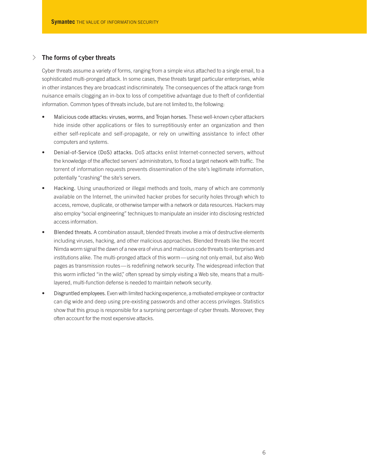# √ **The forms of cyber threats**

Cyber threats assume a variety of forms, ranging from a simple virus attached to a single email, to a sophisticated multi-pronged attack. In some cases, these threats target particular enterprises, while in other instances they are broadcast indiscriminately. The consequences of the attack range from nuisance emails clogging an in-box to loss of competitive advantage due to theft of confidential information. Common types of threats include, but are not limited to, the following:

- Malicious code attacks: viruses, worms, and Trojan horses. These well-known cyber attackers hide inside other applications or files to surreptitiously enter an organization and then either self-replicate and self-propagate, or rely on unwitting assistance to infect other computers and systems.
- Denial-of-Service (DoS) attacks. DoS attacks enlist Internet-connected servers, without the knowledge of the affected servers' administrators, to flood a target network with traffic. The torrent of information requests prevents dissemination of the site's legitimate information, potentially "crashing" the site's servers.
- Hacking. Using unauthorized or illegal methods and tools, many of which are commonly available on the Internet, the uninvited hacker probes for security holes through which to access, remove, duplicate, or otherwise tamper with a network or data resources. Hackers may also employ "social engineering" techniques to manipulate an insider into disclosing restricted access information.
- Blended threats. A combination assault, blended threats involve a mix of destructive elements including viruses, hacking, and other malicious approaches. Blended threats like the recent Nimda worm signal the dawn of a new era of virus and malicious code threats to enterprises and institutions alike. The multi-pronged attack of this worm—using not only email, but also Web pages as transmission routes—is redefining network security. The widespread infection that this worm inflicted "in the wild," often spread by simply visiting a Web site, means that a multilayered, multi-function defense is needed to maintain network security.
- Disgruntled employees. Even with limited hacking experience, a motivated employee or contractor can dig wide and deep using pre-existing passwords and other access privileges. Statistics show that this group is responsible for a surprising percentage of cyber threats. Moreover, they often account for the most expensive attacks.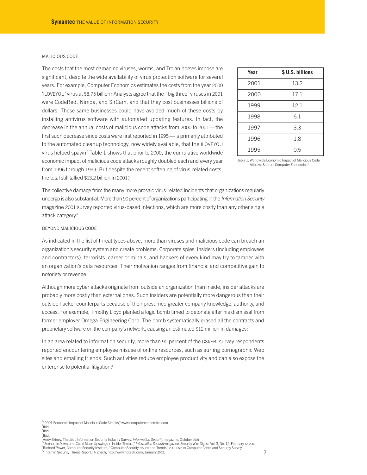#### MALICIOUS CODE

The costs that the most damaging viruses, worms, and Trojan horses impose are significant, despite the wide availability of virus protection software for several years. For example, Computer Economics estimates the costs from the year 2000 'ILOVEYOU' virus at \$8.75 billion.2 Analysts agree that the "big three"viruses in 2001 were CodeRed, Nimda, and SirCam, and that they cost businesses billions of dollars. Those same businesses could have avoided much of these costs by installing antivirus software with automated updating features. In fact, the decrease in the annual costs of malicious code attacks from 2000 to 2001—the first such decrease since costs were first reported in 1995—is primarily attributed to the automated cleanup technology, now widely available, that the ILOVEYOU virus helped spawn.3 Table 1 shows that prior to 2000, the cumulative worldwide economic impact of malicious code attacks roughly doubled each and every year from 1996 through 1999. But despite the recent softening of virus-related costs, the total still tallied \$13.2 billion in 2001. 4

| Year | \$ U.S. billions |
|------|------------------|
| 2001 | 13.2             |
| 2000 | 17.1             |
| 1999 | 12.1             |
| 1998 | 6.1              |
| 1997 | 3.3              |
| 1996 | 1.8              |
| 1995 | 0.5              |

Table 1. Worldwide Economic Impact of Malicious Code Attacks. Source: Computer Economics<sup>5</sup>

The collective damage from the many more prosaic virus-related incidents that organizations regularly undergo is also substantial. More than 90 percent of organizations participating in the *Information Security* magazine 2001 survey reported virus-based infections, which are more costly than any other single attack category.<sup>6</sup>

## BEYOND MALICIOUS CODE

As indicated in the list of threat types above, more than viruses and malicious code can breach an organization's security system and create problems. Corporate spies, insiders (including employees and contractors), terrorists, career criminals, and hackers of every kind may try to tamper with an organization's data resources. Their motivation ranges from financial and competitive gain to notoriety or revenge.

Although more cyber attacks originate from outside an organization than inside, insider attacks are probably more costly than external ones. Such insiders are potentially more dangerous than their outside hacker counterparts because of their presumed greater company knowledge, authority, and access. For example, Timothy Lloyd planted a logic bomb timed to detonate after his dismissal from former employer Omega Engineering Corp. The bomb systematically erased all the contracts and proprietary software on the company's network, causing an estimated \$12 million in damages.<sup>7</sup>

In an area related to information security, more than 90 percent of the CSI/FBI survey respondents reported encountering employee misuse of online resources, such as surfing pornographic Web sites and emailing friends. Such activities reduce employee productivity and can also expose the enterprise to potential litigation.<sup>8</sup>

 $\frac{2}{3}$  2001 Economic Impact of Malicious Code Attacks," www.computereconomics.com.  $\int$ Ibid.



**Andy Briney, The 2001 Information Security Industry Survey,** *Information Security* **magazine, October 2001.** 

."Economic Downturns Could Mean Upswings in Insider Threats," *Information Security* magazine, Security Wire Digest, Vol. 3, No. 12, February 12, 2001.<br>"Richard Power, Computer Security Institute, "Computer Security Issues "Internet Security Threat Report," Riptech, http://www.riptech.com, January 2002.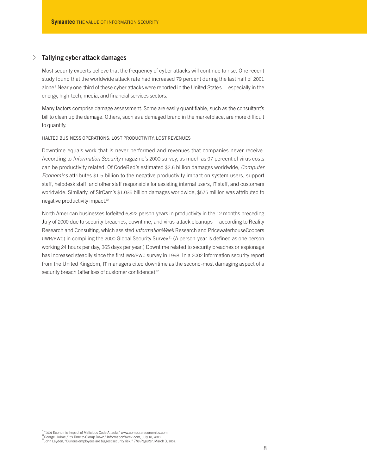# √ **Tallying cyber attack damages**

Most security experts believe that the frequency of cyber attacks will continue to rise. One recent study found that the worldwide attack rate had increased 79 percent during the last half of 2001 alone.<sup>9</sup> Nearly one-third of these cyber attacks were reported in the United States—especially in the energy, high-tech, media, and financial services sectors.

Many factors comprise damage assessment. Some are easily quantifiable, such as the consultant's bill to clean up the damage. Others, such as a damaged brand in the marketplace, are more difficult to quantify.

#### HALTED BUSINESS OPERATIONS: LOST PRODUCTIVITY, LOST REVENUES

Downtime equals work that is never performed and revenues that companies never receive. According to *Information Security* magazine's 2000 survey, as much as 97 percent of virus costs can be productivity related. Of CodeRed's estimated \$2.6 billion damages worldwide, *Computer Economics* attributes \$1.5 billion to the negative productivity impact on system users, support staff, helpdesk staff, and other staff responsible for assisting internal users, IT staff, and customers worldwide. Similarly, of SirCam's \$1.035 billion damages worldwide, \$575 million was attributed to negative productivity impact.10

North American businesses forfeited 6,822 person-years in productivity in the 12 months preceding July of 2000 due to security breaches, downtime, and virus-attack cleanups—according to Reality Research and Consulting, which assisted *InformationWeek* Research and PricewaterhouseCoopers (IWR/PWC) in compiling the 2000 Global Security Survey.<sup>11</sup> (A person-year is defined as one person working 24 hours per day, 365 days per year.) Downtime related to security breaches or espionage has increased steadily since the first IWR/PWC survey in 1998. In a 2002 information security report from the United Kingdom, IT managers cited downtime as the second-most damaging aspect of a security breach (after loss of customer confidence).<sup>12</sup>

<sup>10</sup>"2001 Economic Impact of Malicious Code Attacks," www.computereconomics.com.<br><sup>11</sup>George Hulme, "It's Time to Clamp Down," InformationWeek.com, July 10, 2000.<br><sup>12</sup><u>John Leyden,</u> "Curious employees are biggest security r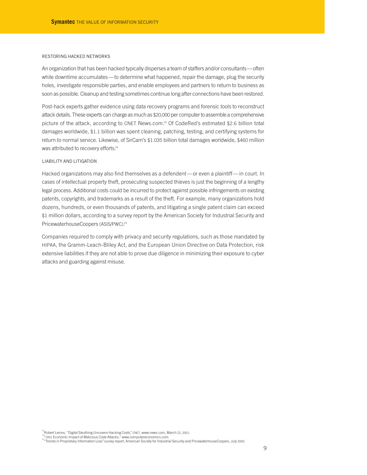#### RESTORING HACKED NETWORKS

An organization that has been hacked typically disperses a team of staffers and/or consultants—often while downtime accumulates—to determine what happened, repair the damage, plug the security holes, investigate responsible parties, and enable employees and partners to return to business as soon as possible. Cleanup and testing sometimes continue long after connections have been restored.

Post-hack experts gather evidence using data recovery programs and forensic tools to reconstruct attack details. These experts can charge as much as \$20,000 per computer to assemble a comprehensive picture of the attack, according to CNET News.com.13 Of CodeRed's estimated \$2.6 billion total damages worldwide, \$1.1 billion was spent cleaning, patching, testing, and certifying systems for return to normal service. Likewise, of SirCam's \$1.035 billion total damages worldwide, \$460 million was attributed to recovery efforts.<sup>14</sup>

## LIABILITY AND LITIGATION

Hacked organizations may also find themselves as a defendent—or even a plaintiff— in court. In cases of intellectual property theft, prosecuting suspected thieves is just the beginning of a lengthy legal process. Additional costs could be incurred to protect against possible infringements on existing patents, copyrights, and trademarks as a result of the theft. For example, many organizations hold dozens, hundreds, or even thousands of patents, and litigating a single patent claim can exceed \$1 million dollars, according to a survey report by the American Society for Industrial Security and PricewaterhouseCoopers (ASIS/PWC). 15

Companies required to comply with privacy and security regulations, such as those mandated by HIPAA, the Gramm-Leach-Bliley Act, and the European Union Directive on Data Protection, risk extensive liabilities if they are not able to prove due diligence in minimizing their exposure to cyber attacks and guarding against misuse.

<sup>&</sup>lt;sup>13</sup>Robert Lemos, "Digital Sleuthing Uncovers Hacking Costs," CNET, www.news.com, March 22, 2001.<br><sup>14</sup>"2001 Economic Impact of Malicious Code Attacks," www.computereconomics.com.<br><sup>15</sup>"Trends in Proprietary Information Loss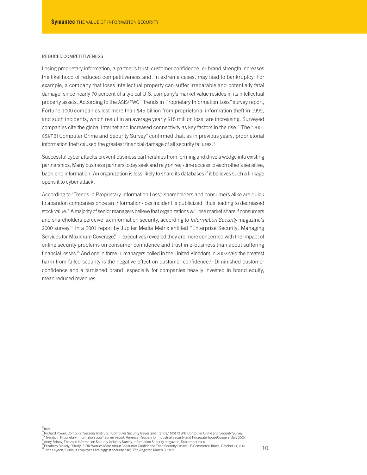## REDUCED COMPETITIVENESS

Losing proprietary information, a partner's trust, customer confidence, or brand strength increases the likelihood of reduced competitiveness and, in extreme cases, may lead to bankruptcy. For example, a company that loses intellectual property can suffer irreparable and potentially fatal damage, since nearly 70 percent of a typical U.S. company's market value resides in its intellectual property assets. According to the ASIS/PWC "Trends in Proprietary Information Loss"survey report, Fortune 1000 companies lost more than \$45 billion from proprietorial information theft in 1999, and such incidents, which result in an average yearly \$15 million loss, are increasing. Surveyed companies cite the global Internet and increased connectivity as key factors in the rise.<sup>16</sup> The "2001 CSI/FBI Computer Crime and Security Survey"confirmed that, as in previous years, proprietorial information theft caused the greatest financial damage of all security failures.<sup>17</sup>

Successful cyber attacks prevent business partnerships from forming and drive a wedge into existing partnerships. Many business partners today seek and rely on real-time access to each other's sensitive, back-end information. An organization is less likely to share its databases if it believes such a linkage opens it to cyber attack.

According to"Trends in Proprietary Information Loss," shareholders and consumers alike are quick to abandon companies once an information-loss incident is publicized, thus leading to decreased stock value.<sup>18</sup> A majority of senior managers believe that organizations will lose market share if consumers and shareholders perceive lax information security, according to *Information Security* magazine's 2000 survey.19 In a 2001 report by Jupiter Media Metrix entitled "Enterprise Security: Managing Services for Maximum Coverage," IT executives revealed they are more concerned with the impact of online security problems on consumer confidence and trust in e-business than about suffering financial losses.<sup>20</sup> And one in three IT managers polled in the United Kingdom in 2002 said the greatest harm from failed security is the negative effect on customer confidence.<sup>21</sup> Diminished customer confidence and a tarnished brand, especially for companies heavily invested in brand equity, mean reduced revenues.

<sup>&</sup>quot;Istichard Power, Computer Security Institute, "Computer Security Issues and Trends," 2001 CSI/FBI Computer Crime and Security Survey.<br>"Istrends in Proprietary Information Loss" survey report, American Society for Industr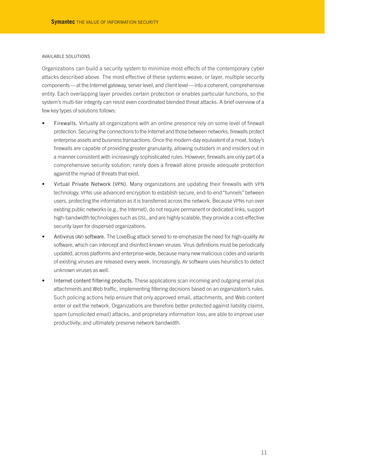#### AVAILABLE SOLUTIONS

Organizations can build a security system to minimize most effects of the contemporary cyber attacks described above. The most effective of these systems weave, or layer, multiple security components—at the Internet gateway, server level, and client level—into a coherent, comprehensive entity. Each overlapping layer provides certain protection or enables particular functions, so the system's multi-tier integrity can resist even coordinated blended threat attacks. A brief overview of a few key types of solutions follows:

- Firewalls. Virtually all organizations with an online presence rely on some level of firewall protection. Securing the connections to the Internet and those between networks, firewalls protect enterprise assets and business transactions. Once the modern-day equivalent of a moat, today's firewalls are capable of providing greater granularity, allowing outsiders in and insiders out in a manner consistent with increasingly sophisticated rules. However, firewalls are only part of a comprehensive security solution; rarely does a firewall alone provide adequate protection against the myriad of threats that exist.
- Virtual Private Network (VPN). Many organizations are updating their firewalls with VPN technology. VPNs use advanced encryption to establish secure, end-to-end"tunnels"between users, protecting the information as it is transferred across the network. Because VPNs run over existing public networks (e.g., the Internet), do not require permanent or dedicated links, support high-bandwidth technologies such as DSL, and are highly scalable, they provide a cost-effective security layer for dispersed organizations.
- Antivirus (AV) software. The LoveBug attack served to re-emphasize the need for high-quality AV software, which can intercept and disinfect known viruses. Virus definitions must be periodically updated, across platforms and enterprise-wide, because many new malicious codes and variants of existing viruses are released every week. Increasingly, AV software uses heuristics to detect unknown viruses as well.
- Internet content filtering products. These applications scan incoming and outgoing email plus attachments and Web traffic, implementing filtering decisions based on an organization's rules. Such policing actions help ensure that only approved email, attachments, and Web content enter or exit the network. Organizations are therefore better protected against liability claims, spam (unsolicited email) attacks, and proprietary information loss; are able to improve user productivity; and ultimately preserve network bandwidth.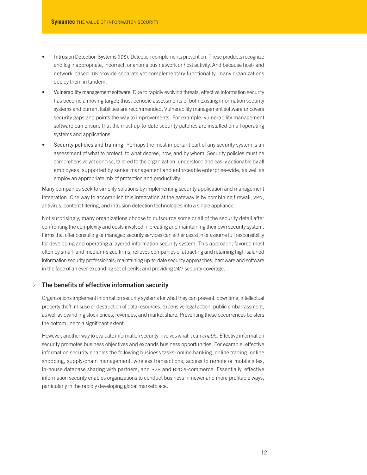- Intrusion Detection Systems (IDS). Detection complements prevention. These products recognize and log inappropriate, incorrect, or anomalous network or host activity. And because host- and network-based IDS provide separate yet complementary functionality, many organizations deploy them in tandem.
- Vulnerability management software. Due to rapidly evolving threats, effective information security has become a moving target; thus, periodic assessments of both existing information security systems and current liabilities are recommended. Vulnerability management software uncovers security gaps and points the way to improvements. For example, vulnerability management software can ensure that the most up-to-date security patches are installed on all operating systems and applications.
- Security policies and training. Perhaps the most important part of any security system is an assessment of what to protect, to what degree, how, and by whom. Security policies must be comprehensive yet concise, tailored to the organization, understood and easily actionable by all employees, supported by senior management and enforceable enterprise-wide, as well as employ an appropriate mix of protection and productivity.

Many companies seek to simplify solutions by implementing security application and management integration. One way to accomplish this integration at the gateway is by combining firewall, VPN, antivirus, content filtering, and intrusion detection technologies into a single appliance.

Not surprisingly, many organizations choose to outsource some or all of the security detail after confronting the complexity and costs involved in creating and maintaining their own security system. Firms that offer consulting or managed security services can either assist in or assume full responsibility for developing and operating a layered information security system. This approach, favored most often by small- and medium-sized firms, relieves companies of attracting and retaining high-salaried information security professionals; maintaining up-to-date security approaches, hardware and software in the face of an ever-expanding set of perils; and providing 24/7 security coverage.

# √ **The benefits of effective information security**

Organizations implement information security systems for what they can prevent: downtime, intellectual property theft, misuse or destruction of data resources, expensive legal action, public embarrassment, as well as dwindling stock prices, revenues, and market share. Preventing these occurrences bolsters the bottom line to a significant extent.

However, another way to evaluate information security involves what it can *enable*. Effective information security promotes business objectives and expands business opportunities. For example, effective information security enables the following business tasks: online banking, online trading, online shopping, supply-chain management, wireless transactions, access to remote or mobile sites, in-house database sharing with partners, and B2B and B2C e-commerce. Essentially, effective information security enables organizations to conduct business in newer and more profitable ways, particularly in the rapidly developing global marketplace.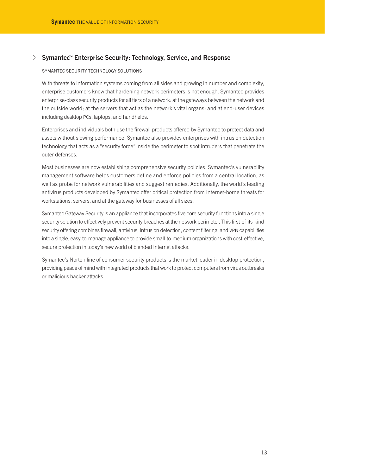# √ **Symantec™ Enterprise Security: Technology, Service, and Response**

#### SYMANTEC SECURITY TECHNOLOGY SOLUTIONS

With threats to information systems coming from all sides and growing in number and complexity, enterprise customers know that hardening network perimeters is not enough. Symantec provides enterprise-class security products for all tiers of a network: at the gateways between the network and the outside world; at the servers that act as the network's vital organs; and at end-user devices including desktop PCs, laptops, and handhelds.

Enterprises and individuals both use the firewall products offered by Symantec to protect data and assets without slowing performance. Symantec also provides enterprises with intrusion detection technology that acts as a"security force"inside the perimeter to spot intruders that penetrate the outer defenses.

Most businesses are now establishing comprehensive security policies. Symantec's vulnerability management software helps customers define and enforce policies from a central location, as well as probe for network vulnerabilities and suggest remedies. Additionally, the world's leading antivirus products developed by Symantec offer critical protection from Internet-borne threats for workstations, servers, and at the gateway for businesses of all sizes.

Symantec Gateway Security is an appliance that incorporates five core security functions into a single security solution to effectively prevent security breaches at the network perimeter. This first-of-its-kind security offering combines firewall, antivirus, intrusion detection, content filtering, and VPN capabilities into a single, easy-to-manage appliance to provide small-to-medium organizations with cost-effective, secure protection in today's new world of blended Internet attacks.

Symantec's Norton line of consumer security products is the market leader in desktop protection, providing peace of mind with integrated products that work to protect computers from virus outbreaks or malicious hacker attacks.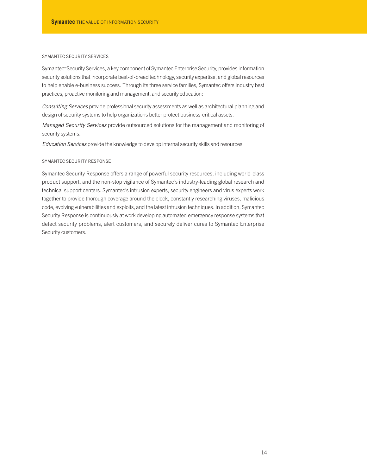## SYMANTEC SECURITY SERVICES

Symantec™Security Services, a key component of Symantec Enterprise Security, provides information security solutions that incorporate best-of-breed technology, security expertise, and global resources to help enable e-business success. Through its three service families, Symantec offers industry best practices, proactive monitoring and management, and security education:

*Consulting Services* provide professional security assessments as well as architectural planning and design of security systems to help organizations better protect business-critical assets.

*Managed Security Services* provide outsourced solutions for the management and monitoring of security systems.

*Education Services* provide the knowledge to develop internal security skills and resources.

### SYMANTEC SECURITY RESPONSE

Symantec Security Response offers a range of powerful security resources, including world-class product support, and the non-stop vigilance of Symantec's industry-leading global research and technical support centers. Symantec's intrusion experts, security engineers and virus experts work together to provide thorough coverage around the clock, constantly researching viruses, malicious code, evolving vulnerabilities and exploits, and the latest intrusion techniques. In addition, Symantec Security Response is continuously at work developing automated emergency response systems that detect security problems, alert customers, and securely deliver cures to Symantec Enterprise Security customers.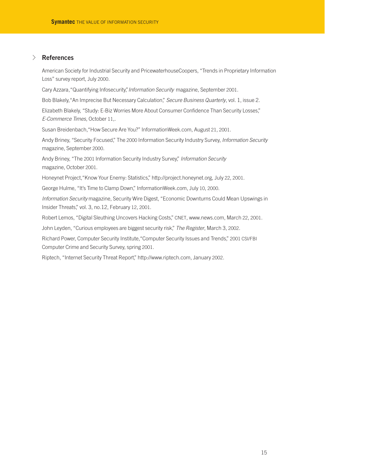# √ **References**

American Society for Industrial Security and PricewaterhouseCoopers, "Trends in Proprietary Information Loss" survey report, July 2000.

Cary Azzara,"Quantifying Infosecurity,"*Information Security* magazine, September 2001.

Bob Blakely,"An Imprecise But Necessary Calculation," *Secure Business Quarterly*, vol. 1, issue 2.

Elizabeth Blakely, "Study: E-Biz Worries More About Consumer Confidence Than Security Losses," *E-Commerce Times*, October 11,.

Susan Breidenbach,"How Secure Are You?" InformationWeek.com, August 21, 2001.

Andy Briney, "Security Focused," The 2000 Information Security Industry Survey, *Information Security* magazine, September 2000.

Andy Briney, "The 2001 Information Security Industry Survey," *Information Security* magazine, October 2001.

Honeynet Project,"Know Your Enemy: Statistics," http://project.honeynet.org, July 22, 2001.

George Hulme, "It's Time to Clamp Down," InformationWeek.com, July 10, 2000.

*Information Security* magazine, Security Wire Digest, "Economic Downturns Could Mean Upswings in Insider Threats," vol. 3, no.12, February 12, 2001.

Robert Lemos, "Digital Sleuthing Uncovers Hacking Costs," CNET, www.news.com, March 22, 2001.

John Leyden, "Curious employees are biggest security risk," *The Register*, March 3, 2002.

Richard Power, Computer Security Institute,"Computer Security Issues and Trends," 2001 CSI/FBI Computer Crime and Security Survey, spring 2001.

Riptech, "Internet Security Threat Report," http://www.riptech.com, January 2002.